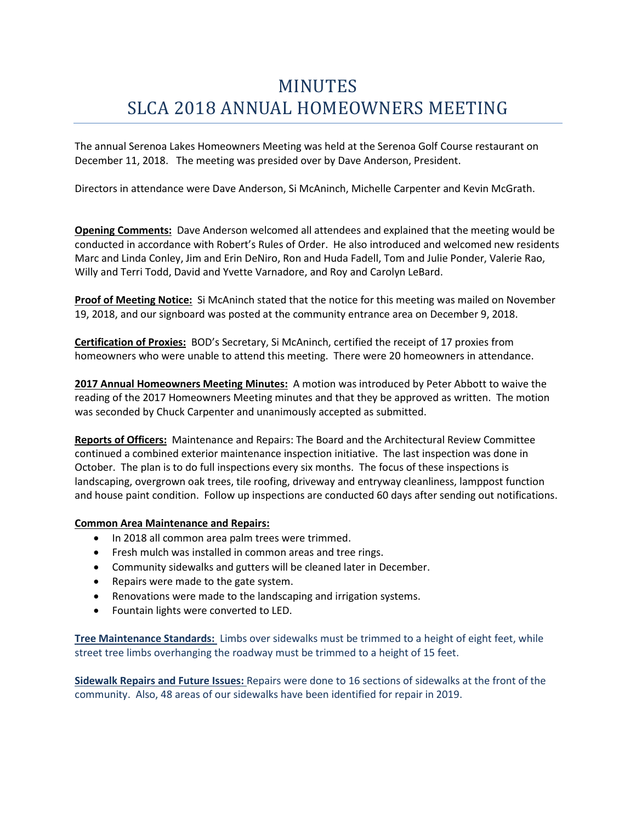# MINUTES SLCA 2018 ANNUAL HOMEOWNERS MEETING

The annual Serenoa Lakes Homeowners Meeting was held at the Serenoa Golf Course restaurant on December 11, 2018. The meeting was presided over by Dave Anderson, President.

Directors in attendance were Dave Anderson, Si McAninch, Michelle Carpenter and Kevin McGrath.

**Opening Comments:** Dave Anderson welcomed all attendees and explained that the meeting would be conducted in accordance with Robert's Rules of Order. He also introduced and welcomed new residents Marc and Linda Conley, Jim and Erin DeNiro, Ron and Huda Fadell, Tom and Julie Ponder, Valerie Rao, Willy and Terri Todd, David and Yvette Varnadore, and Roy and Carolyn LeBard.

**Proof of Meeting Notice:** Si McAninch stated that the notice for this meeting was mailed on November 19, 2018, and our signboard was posted at the community entrance area on December 9, 2018.

**Certification of Proxies:** BOD's Secretary, Si McAninch, certified the receipt of 17 proxies from homeowners who were unable to attend this meeting. There were 20 homeowners in attendance.

**2017 Annual Homeowners Meeting Minutes:** A motion was introduced by Peter Abbott to waive the reading of the 2017 Homeowners Meeting minutes and that they be approved as written. The motion was seconded by Chuck Carpenter and unanimously accepted as submitted.

**Reports of Officers:** Maintenance and Repairs: The Board and the Architectural Review Committee continued a combined exterior maintenance inspection initiative. The last inspection was done in October. The plan is to do full inspections every six months. The focus of these inspections is landscaping, overgrown oak trees, tile roofing, driveway and entryway cleanliness, lamppost function and house paint condition. Follow up inspections are conducted 60 days after sending out notifications.

### **Common Area Maintenance and Repairs:**

- In 2018 all common area palm trees were trimmed.
- Fresh mulch was installed in common areas and tree rings.
- Community sidewalks and gutters will be cleaned later in December.
- Repairs were made to the gate system.
- Renovations were made to the landscaping and irrigation systems.
- Fountain lights were converted to LED.

**Tree Maintenance Standards:** Limbs over sidewalks must be trimmed to a height of eight feet, while street tree limbs overhanging the roadway must be trimmed to a height of 15 feet.

**Sidewalk Repairs and Future Issues:** Repairs were done to 16 sections of sidewalks at the front of the community. Also, 48 areas of our sidewalks have been identified for repair in 2019.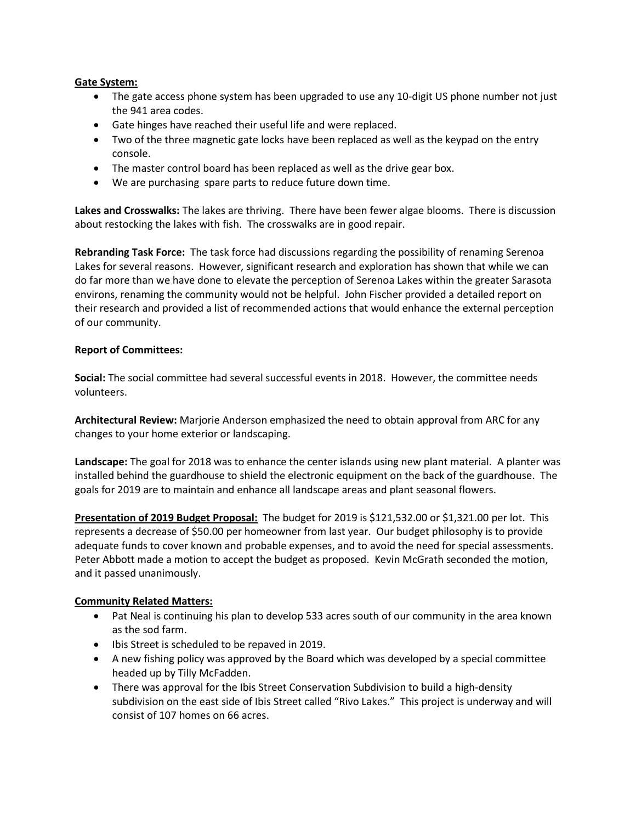### **Gate System:**

- The gate access phone system has been upgraded to use any 10-digit US phone number not just the 941 area codes.
- Gate hinges have reached their useful life and were replaced.
- Two of the three magnetic gate locks have been replaced as well as the keypad on the entry console.
- The master control board has been replaced as well as the drive gear box.
- We are purchasing spare parts to reduce future down time.

**Lakes and Crosswalks:** The lakes are thriving. There have been fewer algae blooms. There is discussion about restocking the lakes with fish. The crosswalks are in good repair.

**Rebranding Task Force:** The task force had discussions regarding the possibility of renaming Serenoa Lakes for several reasons. However, significant research and exploration has shown that while we can do far more than we have done to elevate the perception of Serenoa Lakes within the greater Sarasota environs, renaming the community would not be helpful. John Fischer provided a detailed report on their research and provided a list of recommended actions that would enhance the external perception of our community.

## **Report of Committees:**

**Social:** The social committee had several successful events in 2018. However, the committee needs volunteers.

**Architectural Review:** Marjorie Anderson emphasized the need to obtain approval from ARC for any changes to your home exterior or landscaping.

**Landscape:** The goal for 2018 was to enhance the center islands using new plant material. A planter was installed behind the guardhouse to shield the electronic equipment on the back of the guardhouse. The goals for 2019 are to maintain and enhance all landscape areas and plant seasonal flowers.

**Presentation of 2019 Budget Proposal:** The budget for 2019 is \$121,532.00 or \$1,321.00 per lot. This represents a decrease of \$50.00 per homeowner from last year. Our budget philosophy is to provide adequate funds to cover known and probable expenses, and to avoid the need for special assessments. Peter Abbott made a motion to accept the budget as proposed. Kevin McGrath seconded the motion, and it passed unanimously.

### **Community Related Matters:**

- Pat Neal is continuing his plan to develop 533 acres south of our community in the area known as the sod farm.
- Ibis Street is scheduled to be repaved in 2019.
- A new fishing policy was approved by the Board which was developed by a special committee headed up by Tilly McFadden.
- There was approval for the Ibis Street Conservation Subdivision to build a high-density subdivision on the east side of Ibis Street called "Rivo Lakes." This project is underway and will consist of 107 homes on 66 acres.